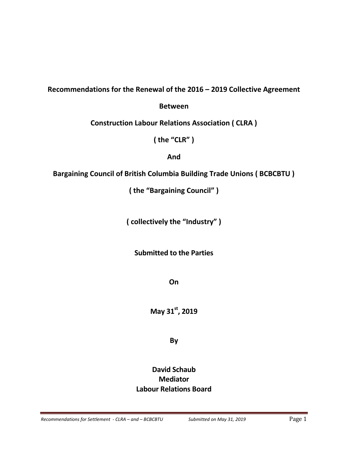# **Recommendations for the Renewal of the 2016 – 2019 Collective Agreement**

# **Between**

**Construction Labour Relations Association ( CLRA )**

**( the "CLR" )**

**And**

# **Bargaining Council of British Columbia Building Trade Unions ( BCBCBTU )**

**( the "Bargaining Council" )**

**( collectively the "Industry" )**

# **Submitted to the Parties**

**On** 

**May 31st, 2019**

# **By**

# **David Schaub Mediator Labour Relations Board**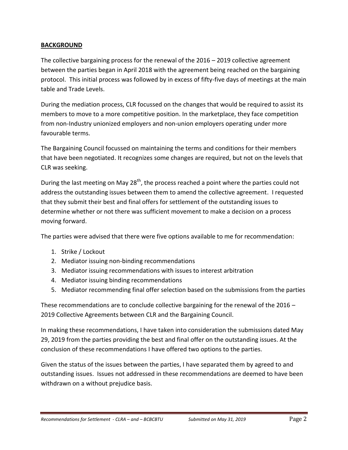# **BACKGROUND**

The collective bargaining process for the renewal of the 2016 – 2019 collective agreement between the parties began in April 2018 with the agreement being reached on the bargaining protocol. This initial process was followed by in excess of fifty-five days of meetings at the main table and Trade Levels.

During the mediation process, CLR focussed on the changes that would be required to assist its members to move to a more competitive position. In the marketplace, they face competition from non-Industry unionized employers and non-union employers operating under more favourable terms.

The Bargaining Council focussed on maintaining the terms and conditions for their members that have been negotiated. It recognizes some changes are required, but not on the levels that CLR was seeking.

During the last meeting on May 28<sup>th</sup>, the process reached a point where the parties could not address the outstanding issues between them to amend the collective agreement. I requested that they submit their best and final offers for settlement of the outstanding issues to determine whether or not there was sufficient movement to make a decision on a process moving forward.

The parties were advised that there were five options available to me for recommendation:

- 1. Strike / Lockout
- 2. Mediator issuing non-binding recommendations
- 3. Mediator issuing recommendations with issues to interest arbitration
- 4. Mediator issuing binding recommendations
- 5. Mediator recommending final offer selection based on the submissions from the parties

These recommendations are to conclude collective bargaining for the renewal of the  $2016 -$ 2019 Collective Agreements between CLR and the Bargaining Council.

In making these recommendations, I have taken into consideration the submissions dated May 29, 2019 from the parties providing the best and final offer on the outstanding issues. At the conclusion of these recommendations I have offered two options to the parties.

Given the status of the issues between the parties, I have separated them by agreed to and outstanding issues. Issues not addressed in these recommendations are deemed to have been withdrawn on a without prejudice basis.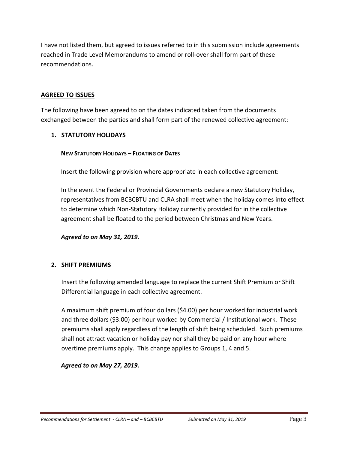I have not listed them, but agreed to issues referred to in this submission include agreements reached in Trade Level Memorandums to amend or roll-over shall form part of these recommendations.

# **AGREED TO ISSUES**

The following have been agreed to on the dates indicated taken from the documents exchanged between the parties and shall form part of the renewed collective agreement:

# **1. STATUTORY HOLIDAYS**

# **NEW STATUTORY HOLIDAYS – FLOATING OF DATES**

Insert the following provision where appropriate in each collective agreement:

In the event the Federal or Provincial Governments declare a new Statutory Holiday, representatives from BCBCBTU and CLRA shall meet when the holiday comes into effect to determine which Non-Statutory Holiday currently provided for in the collective agreement shall be floated to the period between Christmas and New Years.

*Agreed to on May 31, 2019.*

# **2. SHIFT PREMIUMS**

Insert the following amended language to replace the current Shift Premium or Shift Differential language in each collective agreement.

A maximum shift premium of four dollars (\$4.00) per hour worked for industrial work and three dollars (\$3.00) per hour worked by Commercial / Institutional work. These premiums shall apply regardless of the length of shift being scheduled. Such premiums shall not attract vacation or holiday pay nor shall they be paid on any hour where overtime premiums apply. This change applies to Groups 1, 4 and 5.

*Agreed to on May 27, 2019.*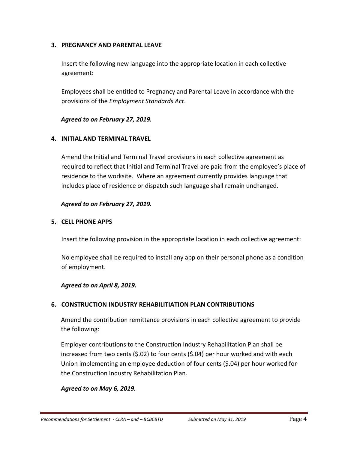## **3. PREGNANCY AND PARENTAL LEAVE**

Insert the following new language into the appropriate location in each collective agreement:

Employees shall be entitled to Pregnancy and Parental Leave in accordance with the provisions of the *Employment Standards Act*.

#### *Agreed to on February 27, 2019.*

#### **4. INITIAL AND TERMINAL TRAVEL**

Amend the Initial and Terminal Travel provisions in each collective agreement as required to reflect that Initial and Terminal Travel are paid from the employee's place of residence to the worksite. Where an agreement currently provides language that includes place of residence or dispatch such language shall remain unchanged.

#### *Agreed to on February 27, 2019.*

#### **5. CELL PHONE APPS**

Insert the following provision in the appropriate location in each collective agreement:

No employee shall be required to install any app on their personal phone as a condition of employment.

# *Agreed to on April 8, 2019.*

# **6. CONSTRUCTION INDUSTRY REHABILITIATION PLAN CONTRIBUTIONS**

Amend the contribution remittance provisions in each collective agreement to provide the following:

Employer contributions to the Construction Industry Rehabilitation Plan shall be increased from two cents (\$.02) to four cents (\$.04) per hour worked and with each Union implementing an employee deduction of four cents (\$.04) per hour worked for the Construction Industry Rehabilitation Plan.

# *Agreed to on May 6, 2019.*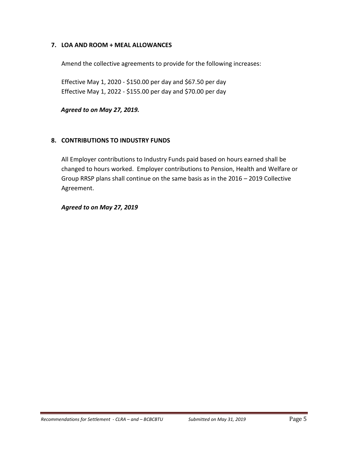# **7. LOA AND ROOM + MEAL ALLOWANCES**

Amend the collective agreements to provide for the following increases:

Effective May 1, 2020 - \$150.00 per day and \$67.50 per day Effective May 1, 2022 - \$155.00 per day and \$70.00 per day

*Agreed to on May 27, 2019.*

#### **8. CONTRIBUTIONS TO INDUSTRY FUNDS**

All Employer contributions to Industry Funds paid based on hours earned shall be changed to hours worked. Employer contributions to Pension, Health and Welfare or Group RRSP plans shall continue on the same basis as in the 2016 – 2019 Collective Agreement.

*Agreed to on May 27, 2019*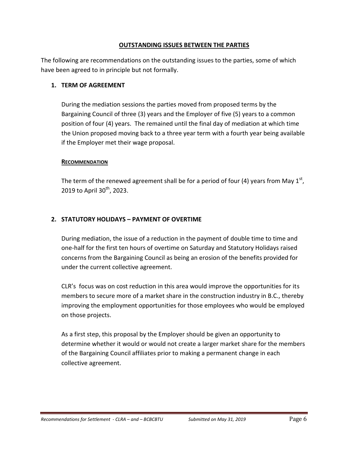## **OUTSTANDING ISSUES BETWEEN THE PARTIES**

The following are recommendations on the outstanding issues to the parties, some of which have been agreed to in principle but not formally.

## **1. TERM OF AGREEMENT**

During the mediation sessions the parties moved from proposed terms by the Bargaining Council of three (3) years and the Employer of five (5) years to a common position of four (4) years. The remained until the final day of mediation at which time the Union proposed moving back to a three year term with a fourth year being available if the Employer met their wage proposal.

#### **RECOMMENDATION**

The term of the renewed agreement shall be for a period of four (4) years from May  $1<sup>st</sup>$ , 2019 to April  $30^{th}$ , 2023.

# **2. STATUTORY HOLIDAYS – PAYMENT OF OVERTIME**

During mediation, the issue of a reduction in the payment of double time to time and one-half for the first ten hours of overtime on Saturday and Statutory Holidays raised concerns from the Bargaining Council as being an erosion of the benefits provided for under the current collective agreement.

CLR's focus was on cost reduction in this area would improve the opportunities for its members to secure more of a market share in the construction industry in B.C., thereby improving the employment opportunities for those employees who would be employed on those projects.

As a first step, this proposal by the Employer should be given an opportunity to determine whether it would or would not create a larger market share for the members of the Bargaining Council affiliates prior to making a permanent change in each collective agreement.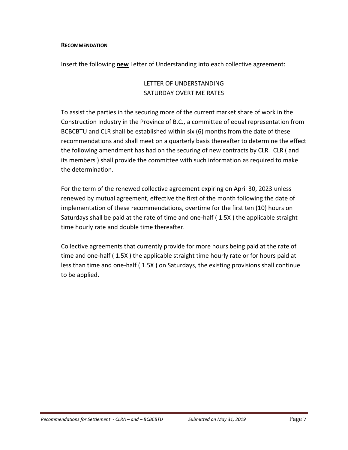#### **RECOMMENDATION**

Insert the following **new** Letter of Understanding into each collective agreement:

# LETTER OF UNDERSTANDING SATURDAY OVERTIME RATES

To assist the parties in the securing more of the current market share of work in the Construction Industry in the Province of B.C., a committee of equal representation from BCBCBTU and CLR shall be established within six (6) months from the date of these recommendations and shall meet on a quarterly basis thereafter to determine the effect the following amendment has had on the securing of new contracts by CLR. CLR ( and its members ) shall provide the committee with such information as required to make the determination.

For the term of the renewed collective agreement expiring on April 30, 2023 unless renewed by mutual agreement, effective the first of the month following the date of implementation of these recommendations, overtime for the first ten (10) hours on Saturdays shall be paid at the rate of time and one-half ( 1.5X ) the applicable straight time hourly rate and double time thereafter.

Collective agreements that currently provide for more hours being paid at the rate of time and one-half ( 1.5X ) the applicable straight time hourly rate or for hours paid at less than time and one-half ( 1.5X ) on Saturdays, the existing provisions shall continue to be applied.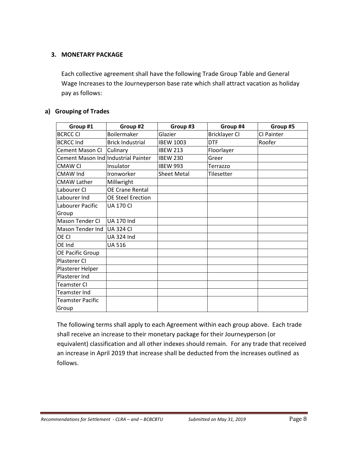# **3. MONETARY PACKAGE**

Each collective agreement shall have the following Trade Group Table and General Wage Increases to the Journeyperson base rate which shall attract vacation as holiday pay as follows:

#### **a) Grouping of Trades**

| Group #1                            | Group #2                 | Group #3           | Group #4             | Group #5   |
|-------------------------------------|--------------------------|--------------------|----------------------|------------|
| <b>BCRCC CI</b>                     | Boilermaker              | Glazier            | <b>Bricklayer CI</b> | CI Painter |
| <b>BCRCC Ind</b>                    | <b>Brick Industrial</b>  | <b>IBEW 1003</b>   | <b>DTF</b>           | Roofer     |
| <b>Cement Mason CI</b>              | Culinary                 | <b>IBEW 213</b>    | Floorlayer           |            |
| Cement Mason Ind Industrial Painter |                          | <b>IBEW 230</b>    | Greer                |            |
| <b>CMAW CI</b>                      | Insulator                | <b>IBEW 993</b>    | Terrazzo             |            |
| <b>CMAW Ind</b>                     | Ironworker               | <b>Sheet Metal</b> | Tilesetter           |            |
| <b>CMAW Lather</b>                  | Millwright               |                    |                      |            |
| Labourer CI                         | <b>OE Crane Rental</b>   |                    |                      |            |
| Labourer Ind                        | <b>OE Steel Erection</b> |                    |                      |            |
| Labourer Pacific                    | <b>UA 170 CI</b>         |                    |                      |            |
| Group                               |                          |                    |                      |            |
| Mason Tender CI                     | <b>UA 170 Ind</b>        |                    |                      |            |
| Mason Tender Ind                    | <b>UA 324 CI</b>         |                    |                      |            |
| <b>OE CI</b>                        | <b>UA 324 Ind</b>        |                    |                      |            |
| <b>OE</b> Ind                       | <b>UA 516</b>            |                    |                      |            |
| <b>OE Pacific Group</b>             |                          |                    |                      |            |
| Plasterer CI                        |                          |                    |                      |            |
| Plasterer Helper                    |                          |                    |                      |            |
| Plasterer Ind                       |                          |                    |                      |            |
| Teamster CI                         |                          |                    |                      |            |
| Teamster Ind                        |                          |                    |                      |            |
| <b>Teamster Pacific</b>             |                          |                    |                      |            |
| Group                               |                          |                    |                      |            |

The following terms shall apply to each Agreement within each group above. Each trade shall receive an increase to their monetary package for their Journeyperson (or equivalent) classification and all other indexes should remain. For any trade that received an increase in April 2019 that increase shall be deducted from the increases outlined as follows.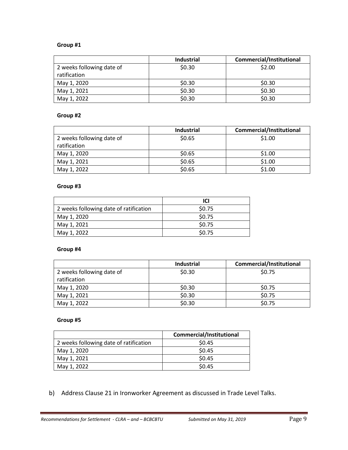#### **Group #1**

|                           | <b>Industrial</b> | <b>Commercial/Institutional</b> |
|---------------------------|-------------------|---------------------------------|
| 2 weeks following date of | \$0.30            | \$2.00                          |
| ratification              |                   |                                 |
| May 1, 2020               | \$0.30            | \$0.30                          |
| May 1, 2021               | \$0.30            | \$0.30                          |
| May 1, 2022               | \$0.30            | \$0.30                          |

#### **Group #2**

|                           | <b>Industrial</b> | <b>Commercial/Institutional</b> |
|---------------------------|-------------------|---------------------------------|
| 2 weeks following date of | \$0.65            | \$1.00                          |
| ratification              |                   |                                 |
| May 1, 2020               | \$0.65            | \$1.00                          |
| May 1, 2021               | \$0.65            | \$1.00                          |
| May 1, 2022               | \$0.65            | \$1.00                          |

#### **Group #3**

|                                        | ICI    |
|----------------------------------------|--------|
| 2 weeks following date of ratification | \$0.75 |
| May 1, 2020                            | \$0.75 |
| May 1, 2021                            | \$0.75 |
| May 1, 2022                            | \$0.75 |

#### **Group #4**

|                           | <b>Industrial</b> | <b>Commercial/Institutional</b> |
|---------------------------|-------------------|---------------------------------|
| 2 weeks following date of | \$0.30            | \$0.75                          |
| ratification              |                   |                                 |
| May 1, 2020               | \$0.30            | \$0.75                          |
| May 1, 2021               | \$0.30            | \$0.75                          |
| May 1, 2022               | \$0.30            | \$0.75                          |

#### **Group #5**

|                                        | Commercial/Institutional |
|----------------------------------------|--------------------------|
| 2 weeks following date of ratification | \$0.45                   |
| May 1, 2020                            | \$0.45                   |
| May 1, 2021                            | \$0.45                   |
| May 1, 2022                            | \$0.45                   |

b) Address Clause 21 in Ironworker Agreement as discussed in Trade Level Talks.